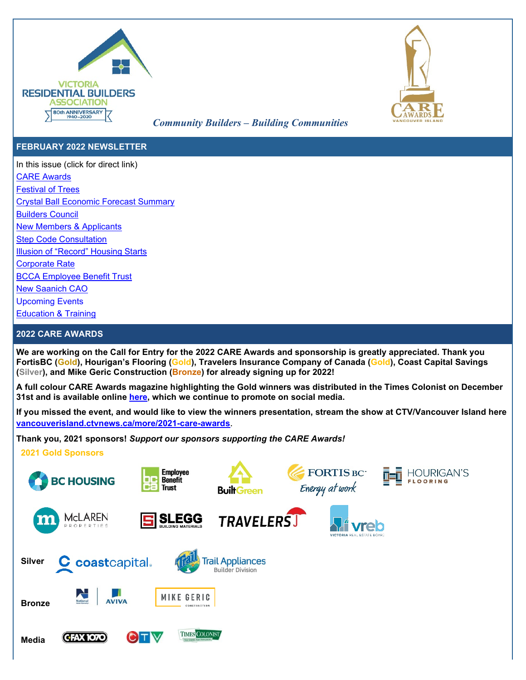



# *Community Builders – Building Communities*

### **FEBRUARY 2022 NEWSLETTER**

In this issue (click for direct link) [CARE Awards](#page-0-0) [Festival of Trees](#page-1-0) [Crystal Ball Economic Forecast Summary](#page-1-1) [Builders Council](#page-2-0) [New Members](#page-2-1) & Applicants [Step Code Consultation](#page-2-1) [Illusion of "Record" Housing Starts](#page-3-0) [Corporate Rate](#page-3-1) [BCCA Employee Benefit Trust](#page-3-2) [New Saanich CAO](#page-3-3) [Upcoming Events](#page-3-3)

[Education & Training](#page-3-4)

### <span id="page-0-0"></span>**2022 CARE AWARDS**

**We are working on the Call for Entry for the 2022 CARE Awards and sponsorship is greatly appreciated. Thank you FortisBC (Gold), Hourigan's Flooring (Gold), Travelers Insurance Company of Canada (Gold), Coast Capital Savings (Silver), and Mike Geric Construction (Bronze) for already signing up for 2022!**

**A full colour CARE Awards magazine highlighting the Gold winners was distributed in the Times Colonist on December 31st and is available online [here,](https://issuu.com/timescolonist/docs/careawards2021) which we continue to promote on social media.** 

**If you missed the event, and would like to view the winners presentation, stream the show at CTV/Vancouver Island here [vancouverisland.ctvnews.ca/more/2021-care-awards](https://vancouverisland.ctvnews.ca/more/2021-care-awards)**.

**Thank you, 2021 sponsors!** *Support our sponsors supporting the CARE Awards!* 

**2021 Gold Sponsors**

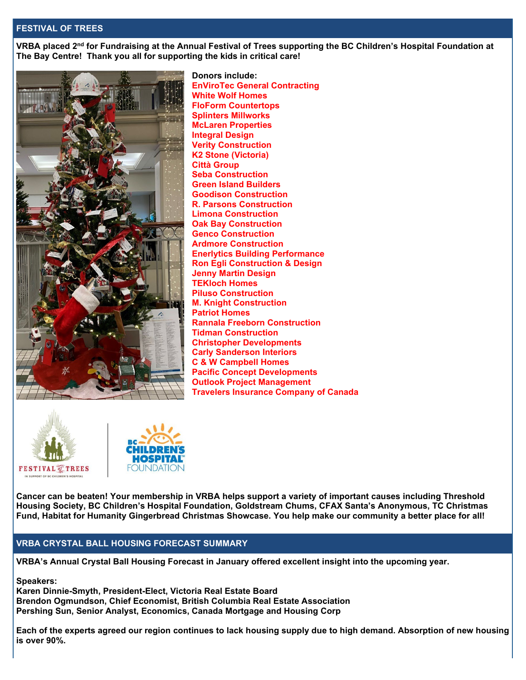### <span id="page-1-0"></span>**FESTIVAL OF TREES**

**VRBA placed 2nd for Fundraising at the Annual Festival of Trees supporting the BC Children's Hospital Foundation at The Bay Centre! Thank you all for supporting the kids in critical care!**



**Donors include: EnViroTec General Contracting White Wolf Homes FloForm Countertops Splinters Millworks McLaren Properties Integral Design Verity Construction K2 Stone (Victoria) Città Group Seba Construction Green Island Builders Goodison Construction R. Parsons Construction Limona Construction Oak Bay Construction Genco Construction Ardmore Construction Enerlytics Building Performance Ron Egli Construction & Design Jenny Martin Design TEKloch Homes Piluso Construction M. Knight Construction Patriot Homes Rannala Freeborn Construction Tidman Construction Christopher Developments Carly Sanderson Interiors C & W Campbell Homes Pacific Concept Developments Outlook Project Management Travelers Insurance Company of Canada**





**Cancer can be beaten! Your membership in VRBA helps support a variety of important causes including Threshold Housing Society, BC Children's Hospital Foundation, Goldstream Chums, CFAX Santa's Anonymous, TC Christmas Fund, Habitat for Humanity Gingerbread Christmas Showcase. You help make our community a better place for all!**

### <span id="page-1-1"></span>**VRBA CRYSTAL BALL HOUSING FORECAST SUMMARY**

**VRBA's Annual Crystal Ball Housing Forecast in January offered excellent insight into the upcoming year.** 

**Speakers:**

**Karen Dinnie-Smyth, President-Elect, Victoria Real Estate Board Brendon Ogmundson, Chief Economist, British Columbia Real Estate Association Pershing Sun, Senior Analyst, Economics, Canada Mortgage and Housing Corp**

**Each of the experts agreed our region continues to lack housing supply due to high demand. Absorption of new housing is over 90%.**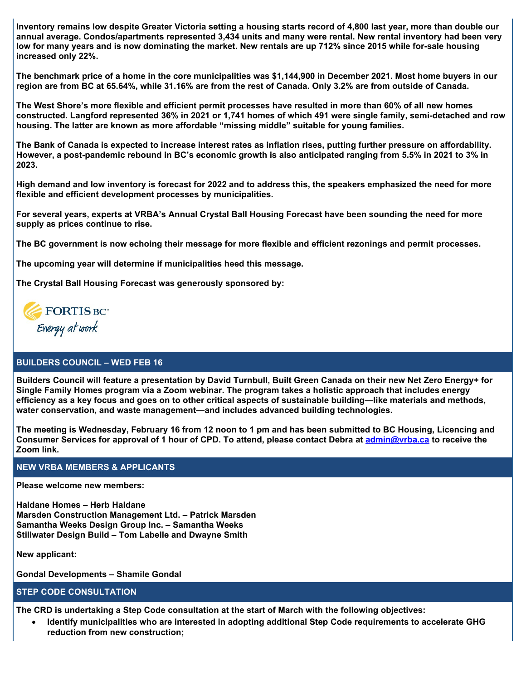**Inventory remains low despite Greater Victoria setting a housing starts record of 4,800 last year, more than double our annual average. Condos/apartments represented 3,434 units and many were rental. New rental inventory had been very low for many years and is now dominating the market. New rentals are up 712% since 2015 while for-sale housing increased only 22%.** 

**The benchmark price of a home in the core municipalities was \$1,144,900 in December 2021. Most home buyers in our region are from BC at 65.64%, while 31.16% are from the rest of Canada. Only 3.2% are from outside of Canada.**

**The West Shore's more flexible and efficient permit processes have resulted in more than 60% of all new homes constructed. Langford represented 36% in 2021 or 1,741 homes of which 491 were single family, semi-detached and row housing. The latter are known as more affordable "missing middle" suitable for young families.**

**The Bank of Canada is expected to increase interest rates as inflation rises, putting further pressure on affordability. However, a post-pandemic rebound in BC's economic growth is also anticipated ranging from 5.5% in 2021 to 3% in 2023.**

**High demand and low inventory is forecast for 2022 and to address this, the speakers emphasized the need for more flexible and efficient development processes by municipalities.**

**For several years, experts at VRBA's Annual Crystal Ball Housing Forecast have been sounding the need for more supply as prices continue to rise.**

**The BC government is now echoing their message for more flexible and efficient rezonings and permit processes.**

**The upcoming year will determine if municipalities heed this message.**

**The Crystal Ball Housing Forecast was generously sponsored by:** 



### <span id="page-2-0"></span>**BUILDERS COUNCIL – WED FEB 16**

**Builders Council will feature a presentation by David Turnbull, Built Green Canada on their new Net Zero Energy+ for Single Family Homes program via a Zoom webinar. The program takes a holistic approach that includes energy efficiency as a key focus and goes on to other critical aspects of sustainable building—like materials and methods, water conservation, and waste management—and includes advanced building technologies.**

**The meeting is Wednesday, February 16 from 12 noon to 1 pm and has been submitted to BC Housing, Licencing and Consumer Services for approval of 1 hour of CPD. To attend, please contact Debra at [admin@vrba.ca](mailto:admin@vrba.ca) to receive the Zoom link.**

#### **NEW VRBA MEMBERS & APPLICANTS**

**Please welcome new members:**

**Haldane Homes – Herb Haldane Marsden Construction Management Ltd. – Patrick Marsden Samantha Weeks Design Group Inc. – Samantha Weeks Stillwater Design Build – Tom Labelle and Dwayne Smith**

**New applicant:**

**Gondal Developments – Shamile Gondal**

#### <span id="page-2-1"></span>**STEP CODE CONSULTATION**

**The CRD is undertaking a Step Code consultation at the start of March with the following objectives:**

• **Identify municipalities who are interested in adopting additional Step Code requirements to accelerate GHG reduction from new construction;**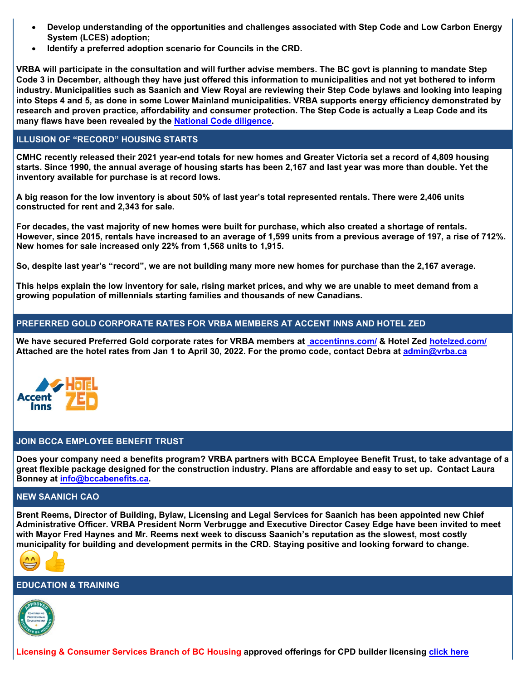- **Develop understanding of the opportunities and challenges associated with Step Code and Low Carbon Energy System (LCES) adoption;**
- **Identify a preferred adoption scenario for Councils in the CRD.**

**VRBA will participate in the consultation and will further advise members. The BC govt is planning to mandate Step Code 3 in December, although they have just offered this information to municipalities and not yet bothered to inform industry. Municipalities such as Saanich and View Royal are reviewing their Step Code bylaws and looking into leaping into Steps 4 and 5, as done in some Lower Mainland municipalities. VRBA supports energy efficiency demonstrated by research and proven practice, affordability and consumer protection. The Step Code is actually a Leap Code and its many flaws have been revealed by the [National Code diligence.](https://www.vrba.ca/blog/bc-step-code-misstep/)** 

### <span id="page-3-0"></span>**ILLUSION OF "RECORD" HOUSING STARTS**

**CMHC recently released their 2021 year-end totals for new homes and Greater Victoria set a record of 4,809 housing starts. Since 1990, the annual average of housing starts has been 2,167 and last year was more than double. Yet the inventory available for purchase is at record lows.**

**A big reason for the low inventory is about 50% of last year's total represented rentals. There were 2,406 units constructed for rent and 2,343 for sale.**

**For decades, the vast majority of new homes were built for purchase, which also created a shortage of rentals. However, since 2015, rentals have increased to an average of 1,599 units from a previous average of 197, a rise of 712%. New homes for sale increased only 22% from 1,568 units to 1,915.**

**So, despite last year's "record", we are not building many more new homes for purchase than the 2,167 average.**

**This helps explain the low inventory for sale, rising market prices, and why we are unable to meet demand from a growing population of millennials starting families and thousands of new Canadians.**

### <span id="page-3-1"></span>**PREFERRED GOLD CORPORATE RATES FOR VRBA MEMBERS AT ACCENT INNS AND HOTEL ZED**

**We have secured Preferred Gold corporate rates for VRBA members at [accentinns.com/](file://reception/Data/WPDOCS/Newsletter/Industry%20Update/2021/accentinns.com/) & Hotel Zed [hotelzed.com/](https://www.hotelzed.com/) Attached are the hotel rates from Jan 1 to April 30, 2022. For the promo code, contact Debra at [admin@vrba.ca](mailto:admin@vrba.ca)** 



## <span id="page-3-2"></span>**JOIN BCCA EMPLOYEE BENEFIT TRUST**

**Does your company need a benefits program? VRBA partners with BCCA Employee Benefit Trust, to take advantage of a great flexible package designed for the construction industry. Plans are affordable and easy to set up. Contact Laura Bonney at [info@bccabenefits.ca.](mailto:info@bccabenefits.ca)**

### <span id="page-3-3"></span>**NEW SAANICH CAO**

**Brent Reems, Director of Building, Bylaw, Licensing and Legal Services for Saanich has been appointed new Chief Administrative Officer. VRBA President Norm Verbrugge and Executive Director Casey Edge have been invited to meet with Mayor Fred Haynes and Mr. Reems next week to discuss Saanich's reputation as the slowest, most costly municipality for building and development permits in the CRD. Staying positive and looking forward to change.**



### <span id="page-3-4"></span>**EDUCATION & TRAINING**



**Licensing & Consumer Services Branch of BC Housing approved offerings for CPD builder licensing [click here](https://lims.hpo.bc.ca/LIMSPortal/Registry/Education/Default.aspx?searchBy=offering&offProvider=CPD&offTf=Any&offArea=Any&offPoint=0)**